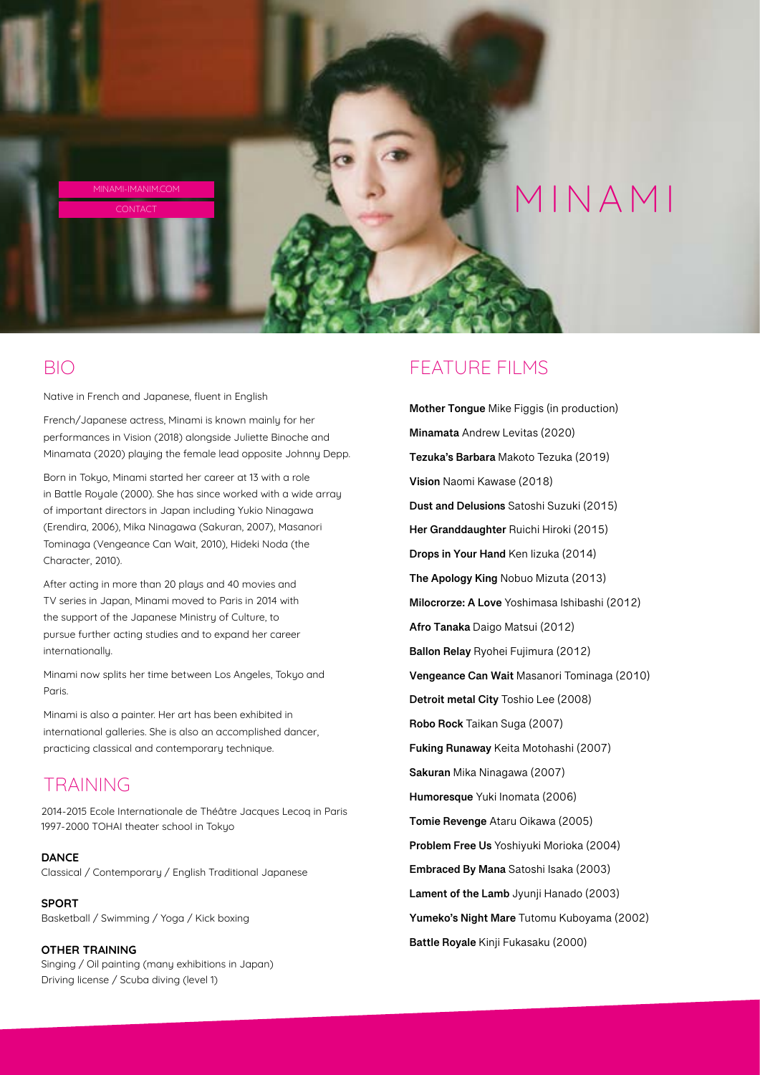

### BIO

Native in French and Japanese, fluent in English

French/Japanese actress, Minami is known mainly for her performances in Vision (2018) alongside Juliette Binoche and Minamata (2020) playing the female lead opposite Johnny Depp.

Born in Tokyo, Minami started her career at 13 with a role in Battle Royale (2000). She has since worked with a wide array of important directors in Japan including Yukio Ninagawa (Erendira, 2006), Mika Ninagawa (Sakuran, 2007), Masanori Tominaga (Vengeance Can Wait, 2010), Hideki Noda (the Character, 2010).

After acting in more than 20 plays and 40 movies and TV series in Japan, Minami moved to Paris in 2014 with the support of the Japanese Ministry of Culture, to pursue further acting studies and to expand her career internationally.

Minami now splits her time between Los Angeles, Tokyo and Paris.

Minami is also a painter. Her art has been exhibited in international galleries. She is also an accomplished dancer, practicing classical and contemporary technique.

# TRAINING

2014-2015 Ecole Internationale de Théâtre Jacques Lecoq in Paris 1997-2000 TOHAI theater schooI in Tokyo

#### **DANCE**

Classical / Contemporary / English Traditional Japanese

#### **SPORT**

Basketball / Swimming / Yoga / Kick boxing

#### **OTHER TRAINING**

Singing / Oil painting (many exhibitions in Japan) Driving license / Scuba diving (level 1)

### FEATURE FILMS

 **Mother Tongue** Mike Figgis (in production)  **Minamata** Andrew Levitas (2020)  **Tezuka's Barbara** Makoto Tezuka (2019)  **The Apology King** Nobuo Mizuta (2013)  **Afro Tanaka** Daigo Matsui (2012)  **Ballon Relay** Ryohei Fujimura (2012)  **Vengeance Can Wait** Masanori Tominaga (2010)  **Detroit metal City** Toshio Lee (2008)  **Problem Free Us** Yoshiyuki Morioka (2004)  **Embraced By Mana** Satoshi Isaka (2003)  **Lament of the Lamb** Jyunji Hanado (2003)  **Battle Royale** Kinji Fukasaku (2000)**Vision** Naomi Kawase (2018) **Dust and Delusions** Satoshi Suzuki (2015) **Her Granddaughter** Ruichi Hiroki (2015) **Drops in Your Hand** Ken Iizuka (2014) **Milocrorze: A Love** Yoshimasa Ishibashi (2012) **Robo Rock** Taikan Suga (2007) **Fuking Runaway** Keita Motohashi (2007) **Sakuran** Mika Ninagawa (2007) **Humoresque** Yuki Inomata (2006) **Tomie Revenge** Ataru Oikawa (2005) **Yumeko's Night Mare** Tutomu Kuboyama (2002)